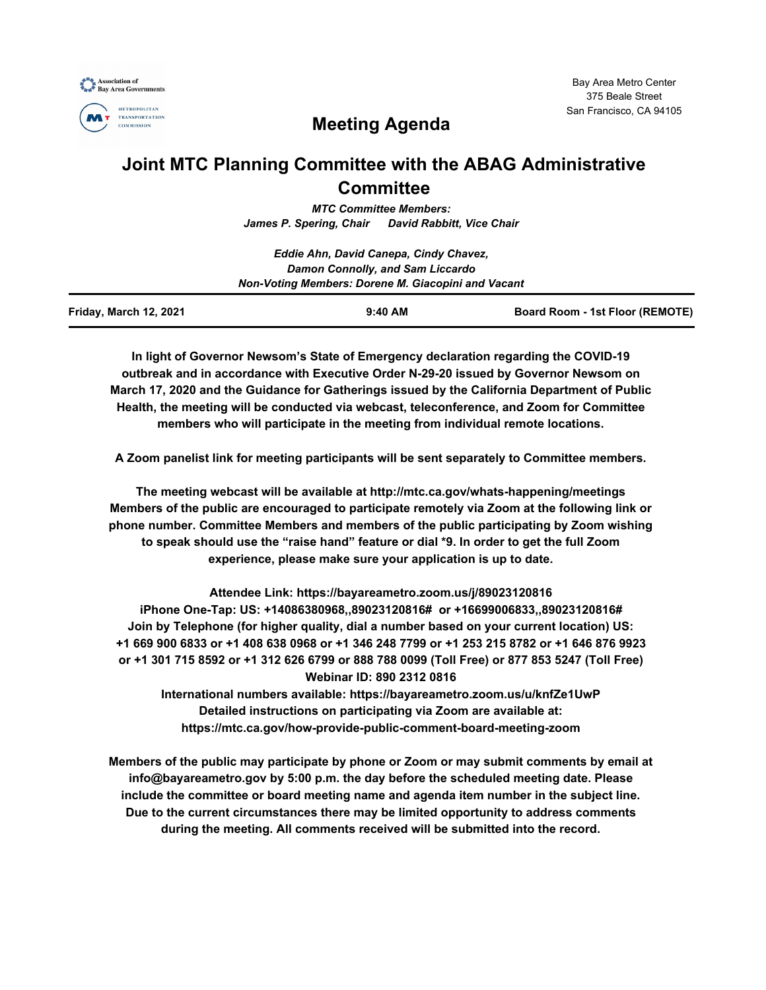



# **Meeting Agenda**

## **Joint MTC Planning Committee with the ABAG Administrative Committee**

*MTC Committee Members: James P. Spering, Chair David Rabbitt, Vice Chair*

|                                                    | Eddie Ahn, David Canepa, Cindy Chavez, |                                 |  |  |
|----------------------------------------------------|----------------------------------------|---------------------------------|--|--|
| Damon Connolly, and Sam Liccardo                   |                                        |                                 |  |  |
| Non-Voting Members: Dorene M. Giacopini and Vacant |                                        |                                 |  |  |
| Friday, March 12, 2021                             | $9:40$ AM                              | Board Room - 1st Floor (REMOTE) |  |  |

**In light of Governor Newsom's State of Emergency declaration regarding the COVID-19 outbreak and in accordance with Executive Order N-29-20 issued by Governor Newsom on March 17, 2020 and the Guidance for Gatherings issued by the California Department of Public Health, the meeting will be conducted via webcast, teleconference, and Zoom for Committee members who will participate in the meeting from individual remote locations.**

**A Zoom panelist link for meeting participants will be sent separately to Committee members.**

**The meeting webcast will be available at http://mtc.ca.gov/whats-happening/meetings Members of the public are encouraged to participate remotely via Zoom at the following link or phone number. Committee Members and members of the public participating by Zoom wishing to speak should use the "raise hand" feature or dial \*9. In order to get the full Zoom experience, please make sure your application is up to date.**

**Attendee Link: https://bayareametro.zoom.us/j/89023120816 iPhone One-Tap: US: +14086380968,,89023120816# or +16699006833,,89023120816# Join by Telephone (for higher quality, dial a number based on your current location) US: +1 669 900 6833 or +1 408 638 0968 or +1 346 248 7799 or +1 253 215 8782 or +1 646 876 9923 or +1 301 715 8592 or +1 312 626 6799 or 888 788 0099 (Toll Free) or 877 853 5247 (Toll Free) Webinar ID: 890 2312 0816**

**International numbers available: https://bayareametro.zoom.us/u/knfZe1UwP Detailed instructions on participating via Zoom are available at: https://mtc.ca.gov/how-provide-public-comment-board-meeting-zoom**

**Members of the public may participate by phone or Zoom or may submit comments by email at info@bayareametro.gov by 5:00 p.m. the day before the scheduled meeting date. Please include the committee or board meeting name and agenda item number in the subject line. Due to the current circumstances there may be limited opportunity to address comments during the meeting. All comments received will be submitted into the record.**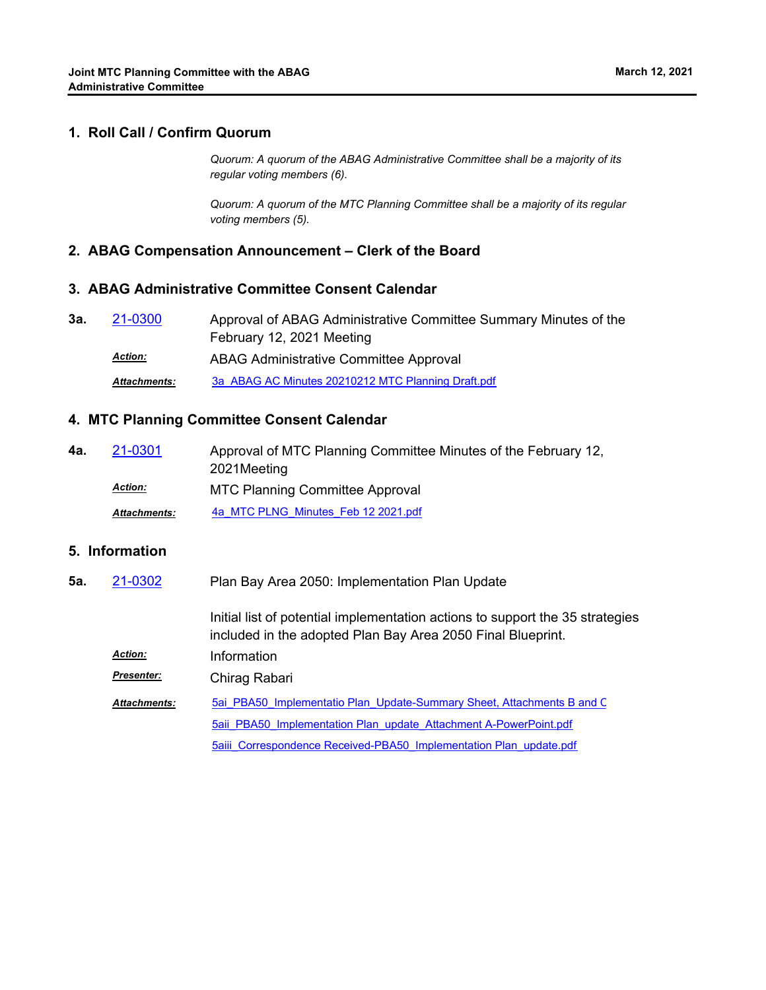## **1. Roll Call / Confirm Quorum**

*Quorum: A quorum of the ABAG Administrative Committee shall be a majority of its regular voting members (6).*

*Quorum: A quorum of the MTC Planning Committee shall be a majority of its regular voting members (5).*

### **2. ABAG Compensation Announcement – Clerk of the Board**

## **3. ABAG Administrative Committee Consent Calendar**

| 3а. | 21-0300             | Approval of ABAG Administrative Committee Summary Minutes of the |
|-----|---------------------|------------------------------------------------------------------|
|     |                     | February 12, 2021 Meeting                                        |
|     | <b>Action:</b>      | ABAG Administrative Committee Approval                           |
|     | <b>Attachments:</b> | 3a ABAG AC Minutes 20210212 MTC Planning Draft.pdf               |

#### **4. MTC Planning Committee Consent Calendar**

Approval of MTC Planning Committee Minutes of the February 12, 2021Meeting **4a.** [21-0301](http://mtc.legistar.com/gateway.aspx?m=l&id=/matter.aspx?key=21894) MTC Planning Committee Approval *Action: Attachments:* [4a\\_MTC PLNG\\_Minutes\\_Feb 12 2021.pdf](http://mtc.legistar.com/gateway.aspx?M=F&ID=084dc50e-8407-46ce-a998-e9135f8bec79.pdf)

#### **5. Information**

Plan Bay Area 2050: Implementation Plan Update **5a.** [21-0302](http://mtc.legistar.com/gateway.aspx?m=l&id=/matter.aspx?key=21895)

> Initial list of potential implementation actions to support the 35 strategies included in the adopted Plan Bay Area 2050 Final Blueprint.

*Action:* Information

Chirag Rabari *Presenter:*

[5ai\\_PBA50\\_Implementatio Plan\\_Update-Summary Sheet, Attachments B and C](http://mtc.legistar.com/gateway.aspx?M=F&ID=9c3d8dab-3897-4231-a824-7538a5aa3c8e.pdf). [5aii\\_PBA50\\_Implementation Plan\\_update\\_Attachment A-PowerPoint.pdf](http://mtc.legistar.com/gateway.aspx?M=F&ID=d4b85d86-655b-47d1-a280-b1edc7ca92d0.pdf) [5aiii\\_Correspondence Received-PBA50\\_Implementation Plan\\_update.pdf](http://mtc.legistar.com/gateway.aspx?M=F&ID=a82cc90e-2315-49da-8bc4-89329d8f2e1b.pdf) *Attachments:*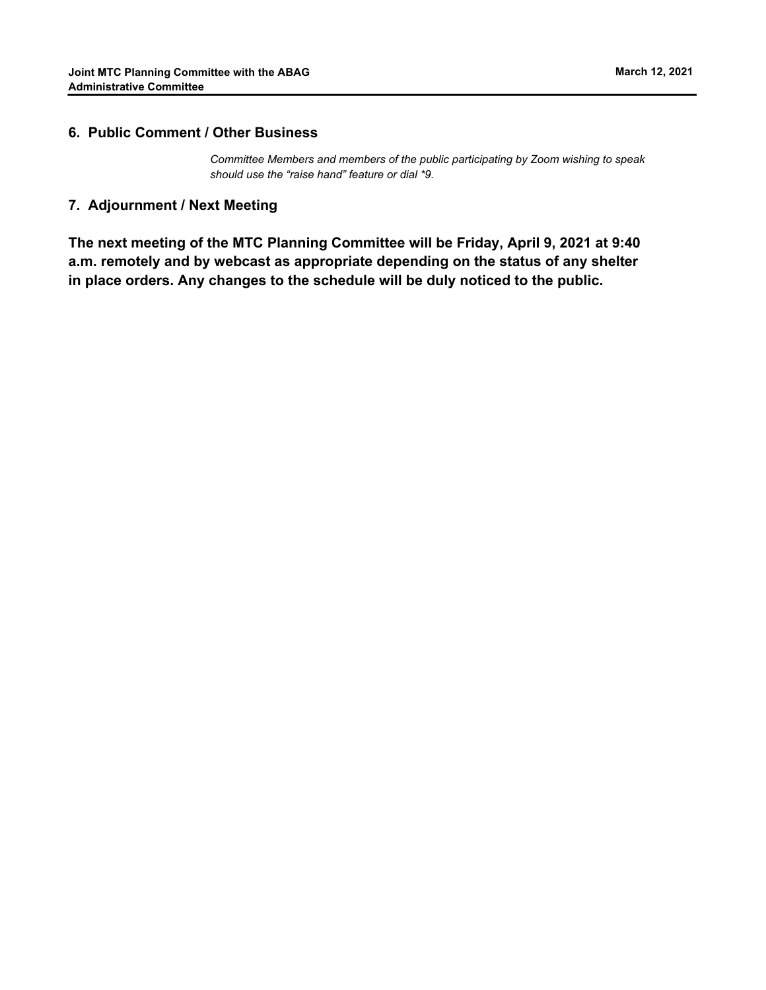## **6. Public Comment / Other Business**

*Committee Members and members of the public participating by Zoom wishing to speak should use the "raise hand" feature or dial \*9.*

#### **7. Adjournment / Next Meeting**

**The next meeting of the MTC Planning Committee will be Friday, April 9, 2021 at 9:40 a.m. remotely and by webcast as appropriate depending on the status of any shelter in place orders. Any changes to the schedule will be duly noticed to the public.**